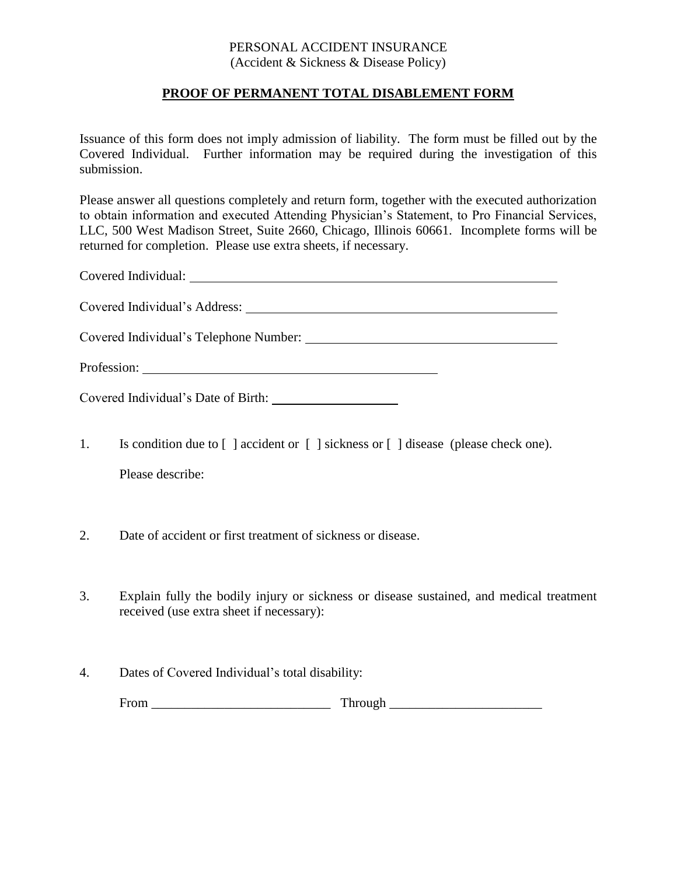## PERSONAL ACCIDENT INSURANCE (Accident & Sickness & Disease Policy)

## **PROOF OF PERMANENT TOTAL DISABLEMENT FORM**

Issuance of this form does not imply admission of liability. The form must be filled out by the Covered Individual. Further information may be required during the investigation of this submission.

Please answer all questions completely and return form, together with the executed authorization to obtain information and executed Attending Physician's Statement, to Pro Financial Services, LLC, 500 West Madison Street, Suite 2660, Chicago, Illinois 60661. Incomplete forms will be returned for completion. Please use extra sheets, if necessary.

Covered Individual:

Covered Individual's Address:

Covered Individual's Telephone Number:

Profession:

Covered Individual's Date of Birth:

- 1. Is condition due to [ ] accident or [ ] sickness or [ ] disease (please check one). Please describe:
- 2. Date of accident or first treatment of sickness or disease.
- 3. Explain fully the bodily injury or sickness or disease sustained, and medical treatment received (use extra sheet if necessary):
- 4. Dates of Covered Individual's total disability:

From \_\_\_\_\_\_\_\_\_\_\_\_\_\_\_\_\_\_\_\_\_\_\_\_\_\_\_ Through \_\_\_\_\_\_\_\_\_\_\_\_\_\_\_\_\_\_\_\_\_\_\_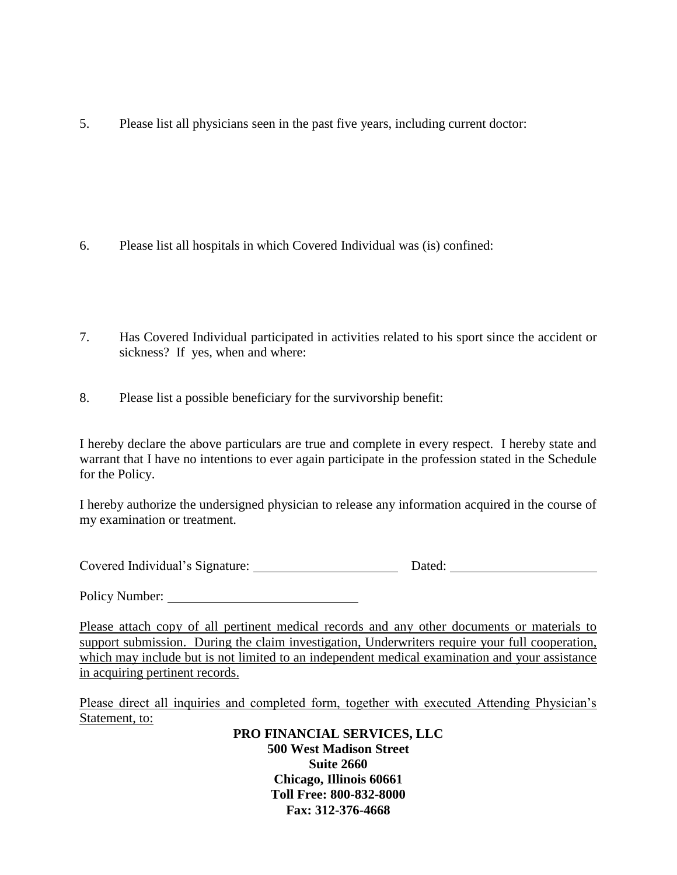5. Please list all physicians seen in the past five years, including current doctor:

- 6. Please list all hospitals in which Covered Individual was (is) confined:
- 7. Has Covered Individual participated in activities related to his sport since the accident or sickness? If yes, when and where:
- 8. Please list a possible beneficiary for the survivorship benefit:

I hereby declare the above particulars are true and complete in every respect. I hereby state and warrant that I have no intentions to ever again participate in the profession stated in the Schedule for the Policy.

I hereby authorize the undersigned physician to release any information acquired in the course of my examination or treatment.

| Covered Individual's Signature:<br>Dated: |
|-------------------------------------------|
|-------------------------------------------|

Policy Number:

Please attach copy of all pertinent medical records and any other documents or materials to support submission. During the claim investigation, Underwriters require your full cooperation, which may include but is not limited to an independent medical examination and your assistance in acquiring pertinent records.

Please direct all inquiries and completed form, together with executed Attending Physician's Statement, to:

> **PRO FINANCIAL SERVICES, LLC 500 West Madison Street Suite 2660 Chicago, Illinois 60661 Toll Free: 800-832-8000 Fax: 312-376-4668**